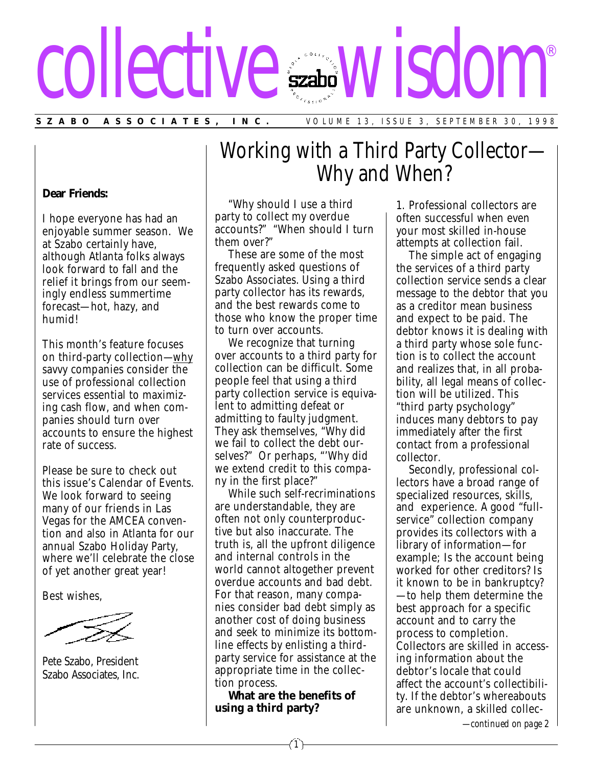# collective wisdom ®

**SZABO ASSOCIATES, INC.** VOLUME 13, ISSUE 3, SEPTEMBER 30, 1998

#### **Dear Friends:**

I hope everyone has had an enjoyable summer season. We at Szabo certainly have, although Atlanta folks always look forward to fall and the relief it brings from our seemingly endless summertime forecast—hot, hazy, and humid!

This month's feature focuses on third-party collection—why savvy companies consider the use of professional collection services essential to maximizing cash flow, and when companies should turn over accounts to ensure the highest rate of success.

Please be sure to check out this issue's Calendar of Events. We look forward to seeing many of our friends in Las Vegas for the AMCEA convention and also in Atlanta for our annual Szabo Holiday Party, where we'll celebrate the close of yet another great year!

Best wishes,

Pete Szabo, President Szabo Associates, Inc.

## Working with a Third Party Collector— Why and When?

"Why should I use a third party to collect my overdue accounts?" "When should I turn them over?"

These are some of the most frequently asked questions of Szabo Associates. Using a third party collector has its rewards, and the best rewards come to those who know the proper time to turn over accounts.

We recognize that turning over accounts to a third party for collection can be difficult. Some people feel that using a third party collection service is equivalent to admitting defeat or admitting to faulty judgment. They ask themselves, "Why did we fail to collect the debt ourselves?" Or perhaps, "'Why did we extend credit to this company in the first place?"

While such self-recriminations are understandable, they are often not only counterproductive but also inaccurate. The truth is, all the upfront diligence and internal controls in the world cannot altogether prevent overdue accounts and bad debt. For that reason, many companies consider bad debt simply as another cost of doing business and seek to minimize its bottomline effects by enlisting a thirdparty service for assistance at the appropriate time in the collection process.

**What are the benefits of using a third party?**

1. Professional collectors are often successful when even your most skilled in-house attempts at collection fail.

The simple act of engaging the services of a third party collection service sends a clear message to the debtor that you as a creditor mean business and expect to be paid. The debtor knows it is dealing with a third party whose sole function is to collect the account and realizes that, in all probability, all legal means of collection will be utilized. This "third party psychology" induces many debtors to pay immediately after the first contact from a professional collector.

Secondly, professional collectors have a broad range of specialized resources, skills, and experience. A good "fullservice" collection company provides its collectors with a library of information—for example; Is the account being worked for other creditors? Is it known to be in bankruptcy? —to help them determine the best approach for a specific account and to carry the process to completion. Collectors are skilled in accessing information about the debtor's locale that could affect the account's collectibility. If the debtor's whereabouts are unknown, a skilled collec-

*—continued on page 2*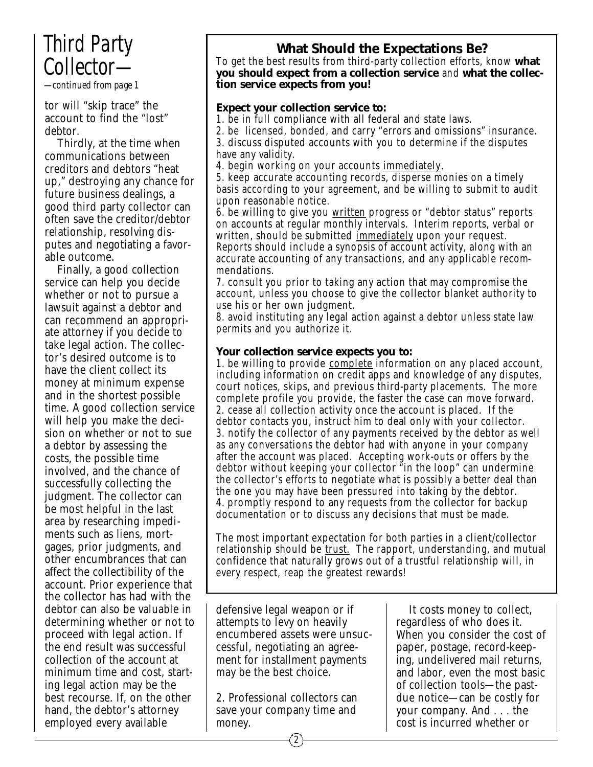## *Third Party Collector—*

*—continued from page 1*

tor will "skip trace" the account to find the "lost" debtor.

Thirdly, at the time when communications between creditors and debtors "heat up," destroying any chance for future business dealings, a good third party collector can often save the creditor/debtor relationship, resolving disputes and negotiating a favorable outcome.

Finally, a good collection service can help you decide whether or not to pursue a lawsuit against a debtor and can recommend an appropriate attorney if you decide to take legal action. The collector's desired outcome is to have the client collect its money at minimum expense and in the shortest possible time. A good collection service will help you make the decision on whether or not to sue a debtor by assessing the costs, the possible time involved, and the chance of successfully collecting the judgment. The collector can be most helpful in the last area by researching impediments such as liens, mortgages, prior judgments, and other encumbrances that can affect the collectibility of the account. Prior experience that the collector has had with the debtor can also be valuable in determining whether or not to proceed with legal action. If the end result was successful collection of the account at minimum time and cost, starting legal action may be the best recourse. If, on the other hand, the debtor's attorney employed every available

### **What Should the Expectations Be?**

To get the best results from third-party collection efforts, know **what you should expect from a collection service** and **what the collection service expects from you!**

#### **Expect your collection service to:**

1. be in full compliance with all federal and state laws.

2. be licensed, bonded, and carry "errors and omissions" insurance. 3. discuss disputed accounts with you to determine if the disputes have any validity.

4. begin working on your accounts immediately*.*

5. keep accurate accounting records, disperse monies on a timely basis according to your agreement, and be willing to submit to audit upon reasonable notice.

6. be willing to give you written progress or "debtor status" reports on accounts at regular monthly intervals. Interim reports, verbal or written, should be submitted <u>immediately</u> upon your request. Reports should include a synopsis of account activity, along with an accurate accounting of any transactions, and any applicable recommendations.

7. consult you prior to taking any action that may compromise the account, unless you choose to give the collector blanket authority to use his or her own judgment.

8. avoid instituting any legal action against a debtor unless state law permits and you authorize it.

#### **Your collection service expects you to:**

1. be willing to provide complete information on any placed account, including information on credit apps and knowledge of any disputes, court notices, skips, and previous third-party placements. The more complete profile you provide, the faster the case can move forward. 2. cease all collection activity once the account is placed. If the debtor contacts you, instruct him to deal only with your collector. 3. notify the collector of any payments received by the debtor as well as any conversations the debtor had with anyone in your company after the account was placed. Accepting work-outs or offers by the debtor without keeping your collector "in the loop" can undermine the collector's efforts to negotiate what is possibly a better deal than the one you may have been pressured into taking by the debtor. 4. promptly respond to any requests from the collector for backup documentation or to discuss any decisions that must be made.

The most important expectation for both parties in a client/collector relationship should be trust. The rapport, understanding, and mutual confidence that naturally grows out of a trustful relationship will, in every respect, reap the greatest rewards!

defensive legal weapon or if attempts to levy on heavily encumbered assets were unsuccessful, negotiating an agreement for installment payments may be the best choice.

2. Professional collectors can save your company time and money.

It costs money to collect, regardless of who does it. When you consider the cost of paper, postage, record-keeping, undelivered mail returns, and labor, even the most basic of collection tools—the pastdue notice—can be costly for your company. And . . . the cost is incurred whether or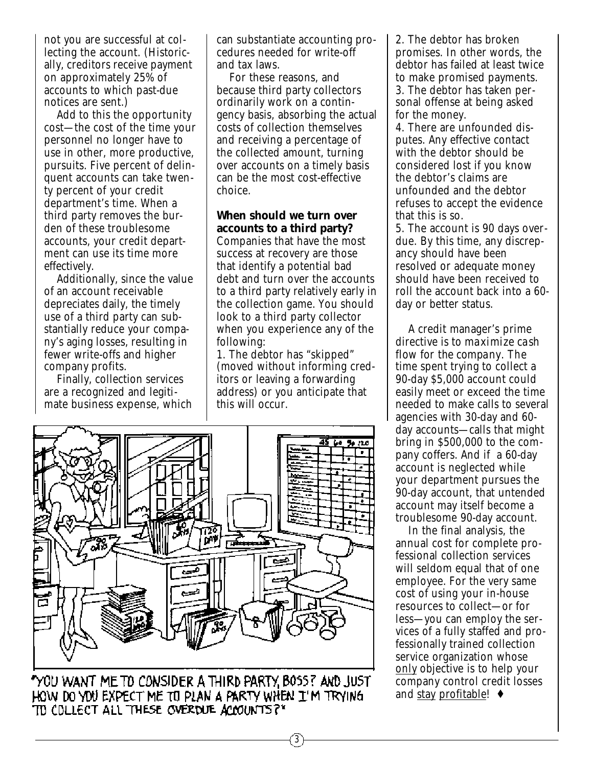not you are successful at collecting the account. (Historically, creditors receive payment on approximately 25% of accounts to which past-due notices are sent.)

Add to this the opportunity cost—the cost of the time your personnel no longer have to use in other, more productive, pursuits. Five percent of delinquent accounts can take twenty percent of your credit department's time. When a third party removes the burden of these troublesome accounts, your credit department can use its time more effectively.

Additionally, since the value of an account receivable depreciates daily, the timely use of a third party can substantially reduce your company's aging losses, resulting in fewer write-offs and higher company profits.

Finally, collection services are a recognized and legitimate business expense, which can substantiate accounting procedures needed for write-off and tax laws.

For these reasons, and because third party collectors ordinarily work on a contingency basis, absorbing the actual costs of collection themselves and receiving a percentage of the collected amount, turning over accounts on a timely basis can be the most cost-effective choice.

#### **When should we turn over accounts to a third party?**

Companies that have the most success at recovery are those that identify a potential bad debt and turn over the accounts to a third party relatively early in the collection game. You should look to a third party collector when you experience any of the following:

1. The debtor has "skipped" (moved without informing creditors or leaving a forwarding address) or you anticipate that this will occur.

3



"YOU WANT ME TO CONSIDER A THIRD PARTY, BOSS? AND JUST HOW DO YOU EXPECT ME TO PLAN A PARTY WHEN I'M TRYING TO COLLECT ALL THESE OVERDUE ACCOUNTS?"

2. The debtor has broken promises. In other words, the debtor has failed at least twice to make promised payments. 3. The debtor has taken personal offense at being asked for the money.

4. There are unfounded disputes. Any effective contact with the debtor should be considered lost if you know the debtor's claims are unfounded and the debtor refuses to accept the evidence that this is so.

5. The account is 90 days overdue. By this time, any discrepancy should have been resolved or adequate money should have been received to roll the account back into a 60 day or better status.

A credit manager's prime directive is to *maximize cash flow for the company.* The time spent trying to collect a 90-day \$5,000 account could easily meet or exceed the time needed to make calls to several agencies with 30-day and 60 day accounts—calls that might bring in \$500,000 to the company coffers. And if a 60-day account is neglected while your department pursues the 90-day account, that untended account may itself become a troublesome 90-day account.

In the final analysis, the annual cost for complete professional collection services will seldom equal that of one employee. For the very same cost of using your in-house resources to collect—or for less—you can employ the services of a fully staffed and professionally trained collection service organization whose only objective is to help your company control credit losses and stay profitable! ♦